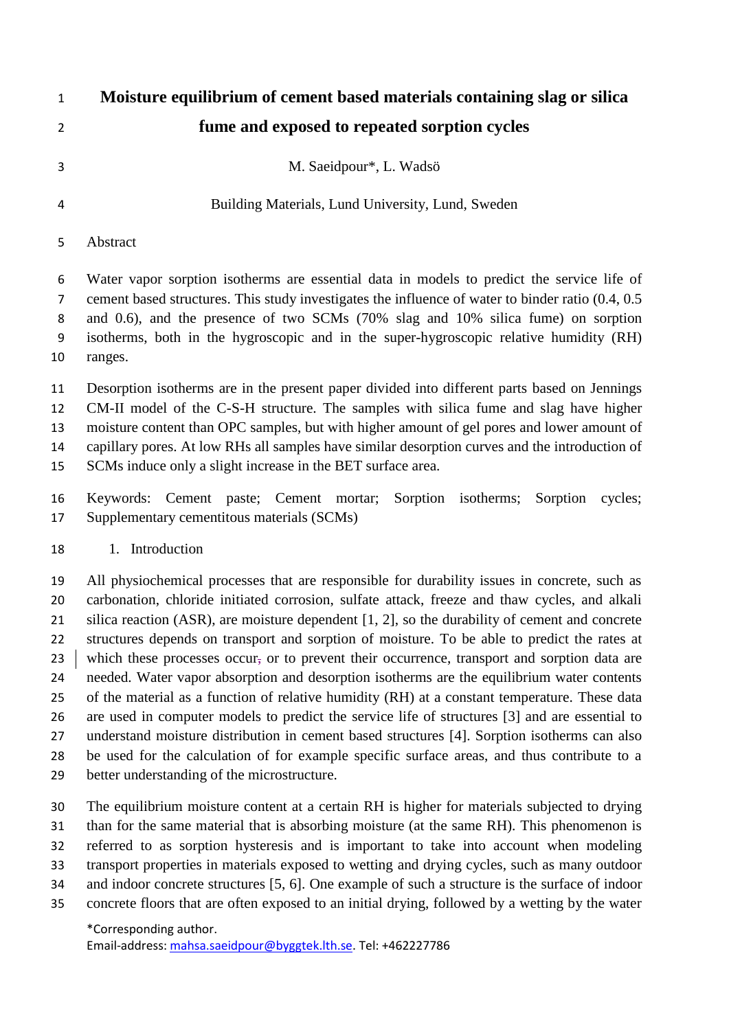# **Moisture equilibrium of cement based materials containing slag or silica fume and exposed to repeated sorption cycles**

M. Saeidpour\*, L. Wadsö

Building Materials, Lund University, Lund, Sweden

#### Abstract

 Water vapor sorption isotherms are essential data in models to predict the service life of cement based structures. This study investigates the influence of water to binder ratio (0.4, 0.5 and 0.6), and the presence of two SCMs (70% slag and 10% silica fume) on sorption isotherms, both in the hygroscopic and in the super-hygroscopic relative humidity (RH) ranges.

 Desorption isotherms are in the present paper divided into different parts based on Jennings CM-II model of the C-S-H structure. The samples with silica fume and slag have higher moisture content than OPC samples, but with higher amount of gel pores and lower amount of capillary pores. At low RHs all samples have similar desorption curves and the introduction of

SCMs induce only a slight increase in the BET surface area.

 Keywords: Cement paste; Cement mortar; Sorption isotherms; Sorption cycles; Supplementary cementitous materials (SCMs)

#### 1. Introduction

 All physiochemical processes that are responsible for durability issues in concrete, such as carbonation, chloride initiated corrosion, sulfate attack, freeze and thaw cycles, and alkali 21 silica reaction (ASR), are moisture dependent [\[1,](#page-10-0) [2\]](#page-10-1), so the durability of cement and concrete structures depends on transport and sorption of moisture. To be able to predict the rates at 23 which these processes occur, or to prevent their occurrence, transport and sorption data are needed. Water vapor absorption and desorption isotherms are the equilibrium water contents of the material as a function of relative humidity (RH) at a constant temperature. These data are used in computer models to predict the service life of structures [\[3\]](#page-10-2) and are essential to understand moisture distribution in cement based structures [\[4\]](#page-10-3). Sorption isotherms can also be used for the calculation of for example specific surface areas, and thus contribute to a better understanding of the microstructure.

 The equilibrium moisture content at a certain RH is higher for materials subjected to drying than for the same material that is absorbing moisture (at the same RH). This phenomenon is referred to as sorption hysteresis and is important to take into account when modeling transport properties in materials exposed to wetting and drying cycles, such as many outdoor and indoor concrete structures [\[5,](#page-10-4) [6\]](#page-10-5). One example of such a structure is the surface of indoor concrete floors that are often exposed to an initial drying, followed by a wetting by the water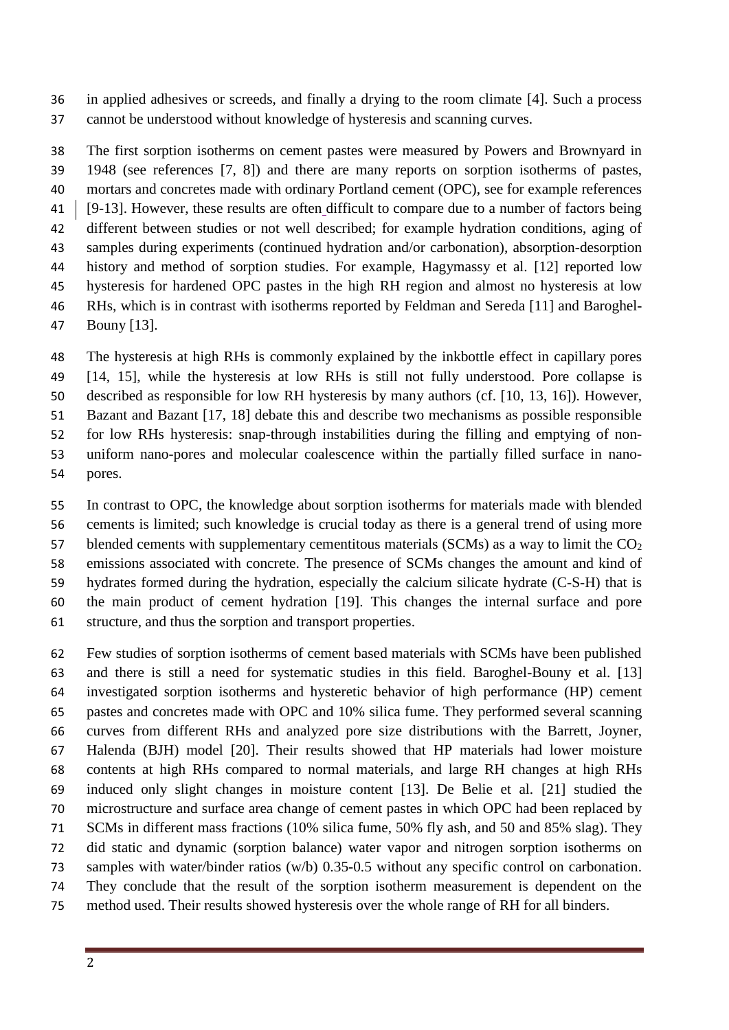in applied adhesives or screeds, and finally a drying to the room climate [\[4\]](#page-10-3). Such a process cannot be understood without knowledge of hysteresis and scanning curves.

 The first sorption isotherms on cement pastes were measured by Powers and Brownyard in 1948 (see references [\[7,](#page-10-6) [8\]](#page-10-7)) and there are many reports on sorption isotherms of pastes, mortars and concretes made with ordinary Portland cement (OPC), see for example references [\[9-13\]](#page-10-8). However, these results are often difficult to compare due to a number of factors being different between studies or not well described; for example hydration conditions, aging of samples during experiments (continued hydration and/or carbonation), absorption-desorption history and method of sorption studies. For example, Hagymassy et al. [\[12\]](#page-11-0) reported low hysteresis for hardened OPC pastes in the high RH region and almost no hysteresis at low RHs, which is in contrast with isotherms reported by Feldman and Sereda [\[11\]](#page-11-1) and Baroghel-Bouny [\[13\]](#page-11-2).

 The hysteresis at high RHs is commonly explained by the inkbottle effect in capillary pores [\[14,](#page-11-3) [15\]](#page-11-4), while the hysteresis at low RHs is still not fully understood. Pore collapse is described as responsible for low RH hysteresis by many authors (cf. [\[10,](#page-11-5) [13,](#page-11-2) [16\]](#page-11-6)). However, Bazant and Bazant [\[17,](#page-11-7) [18\]](#page-11-8) debate this and describe two mechanisms as possible responsible for low RHs hysteresis: snap-through instabilities during the filling and emptying of non- uniform nano-pores and molecular coalescence within the partially filled surface in nano-pores.

 In contrast to OPC, the knowledge about sorption isotherms for materials made with blended cements is limited; such knowledge is crucial today as there is a general trend of using more 57 blended cements with supplementary cementitous materials (SCMs) as a way to limit the  $CO<sub>2</sub>$  emissions associated with concrete. The presence of SCMs changes the amount and kind of hydrates formed during the hydration, especially the calcium silicate hydrate (C-S-H) that is the main product of cement hydration [\[19\]](#page-11-9). This changes the internal surface and pore structure, and thus the sorption and transport properties.

 Few studies of sorption isotherms of cement based materials with SCMs have been published and there is still a need for systematic studies in this field. Baroghel-Bouny et al. [\[13\]](#page-11-2) investigated sorption isotherms and hysteretic behavior of high performance (HP) cement pastes and concretes made with OPC and 10% silica fume. They performed several scanning curves from different RHs and analyzed pore size distributions with the Barrett, Joyner, Halenda (BJH) model [\[20\]](#page-11-10). Their results showed that HP materials had lower moisture contents at high RHs compared to normal materials, and large RH changes at high RHs induced only slight changes in moisture content [\[13\]](#page-11-2). De Belie et al. [\[21\]](#page-11-11) studied the microstructure and surface area change of cement pastes in which OPC had been replaced by SCMs in different mass fractions (10% silica fume, 50% fly ash, and 50 and 85% slag). They did static and dynamic (sorption balance) water vapor and nitrogen sorption isotherms on samples with water/binder ratios (w/b) 0.35-0.5 without any specific control on carbonation. They conclude that the result of the sorption isotherm measurement is dependent on the method used. Their results showed hysteresis over the whole range of RH for all binders.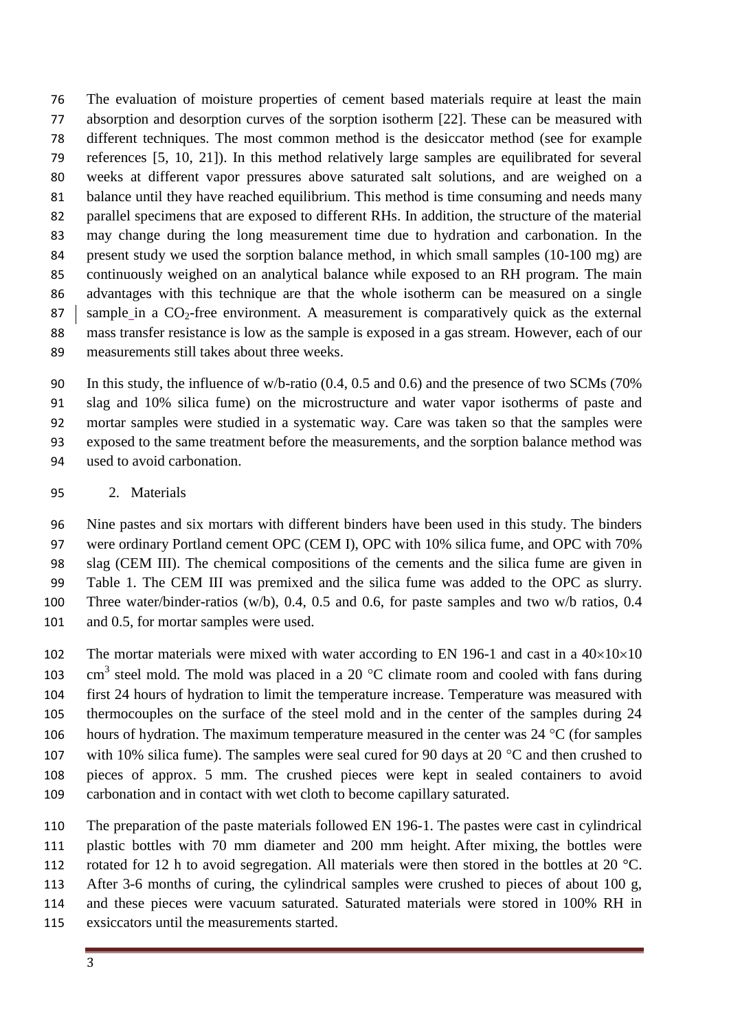The evaluation of moisture properties of cement based materials require at least the main absorption and desorption curves of the sorption isotherm [\[22\]](#page-11-12). These can be measured with different techniques. The most common method is the desiccator method (see for example references [\[5,](#page-10-4) [10,](#page-11-5) [21\]](#page-11-11)). In this method relatively large samples are equilibrated for several weeks at different vapor pressures above saturated salt solutions, and are weighed on a balance until they have reached equilibrium. This method is time consuming and needs many parallel specimens that are exposed to different RHs. In addition, the structure of the material may change during the long measurement time due to hydration and carbonation. In the 84 present study we used the sorption balance method, in which small samples (10-100 mg) are continuously weighed on an analytical balance while exposed to an RH program. The main advantages with this technique are that the whole isotherm can be measured on a single 87 sample in a  $CO_2$ -free environment. A measurement is comparatively quick as the external mass transfer resistance is low as the sample is exposed in a gas stream. However, each of our measurements still takes about three weeks.

 In this study, the influence of w/b-ratio (0.4, 0.5 and 0.6) and the presence of two SCMs (70% slag and 10% silica fume) on the microstructure and water vapor isotherms of paste and mortar samples were studied in a systematic way. Care was taken so that the samples were exposed to the same treatment before the measurements, and the sorption balance method was used to avoid carbonation.

#### 2. Materials

 Nine pastes and six mortars with different binders have been used in this study. The binders were ordinary Portland cement OPC (CEM I), OPC with 10% silica fume, and OPC with 70% slag (CEM III). The chemical compositions of the cements and the silica fume are given in Table 1. The CEM III was premixed and the silica fume was added to the OPC as slurry. Three water/binder-ratios (w/b), 0.4, 0.5 and 0.6, for paste samples and two w/b ratios, 0.4 101 and 0.5, for mortar samples were used.

102 The mortar materials were mixed with water according to EN 196-1 and cast in a  $40\times10\times10$ 103 cm<sup>3</sup> steel mold. The mold was placed in a 20  $^{\circ}$ C climate room and cooled with fans during first 24 hours of hydration to limit the temperature increase. Temperature was measured with thermocouples on the surface of the steel mold and in the center of the samples during 24 106 hours of hydration. The maximum temperature measured in the center was  $24 \text{ °C}$  (for samples 107 with 10% silica fume). The samples were seal cured for 90 days at 20  $^{\circ}$ C and then crushed to pieces of approx. 5 mm. The crushed pieces were kept in sealed containers to avoid carbonation and in contact with wet cloth to become capillary saturated.

 The preparation of the paste materials followed EN 196-1. The pastes were cast in cylindrical plastic bottles with 70 mm diameter and 200 mm height. After mixing, the bottles were 112 rotated for 12 h to avoid segregation. All materials were then stored in the bottles at 20 °C. After 3-6 months of curing, the cylindrical samples were crushed to pieces of about 100 g, and these pieces were vacuum saturated. Saturated materials were stored in 100% RH in exsiccators until the measurements started.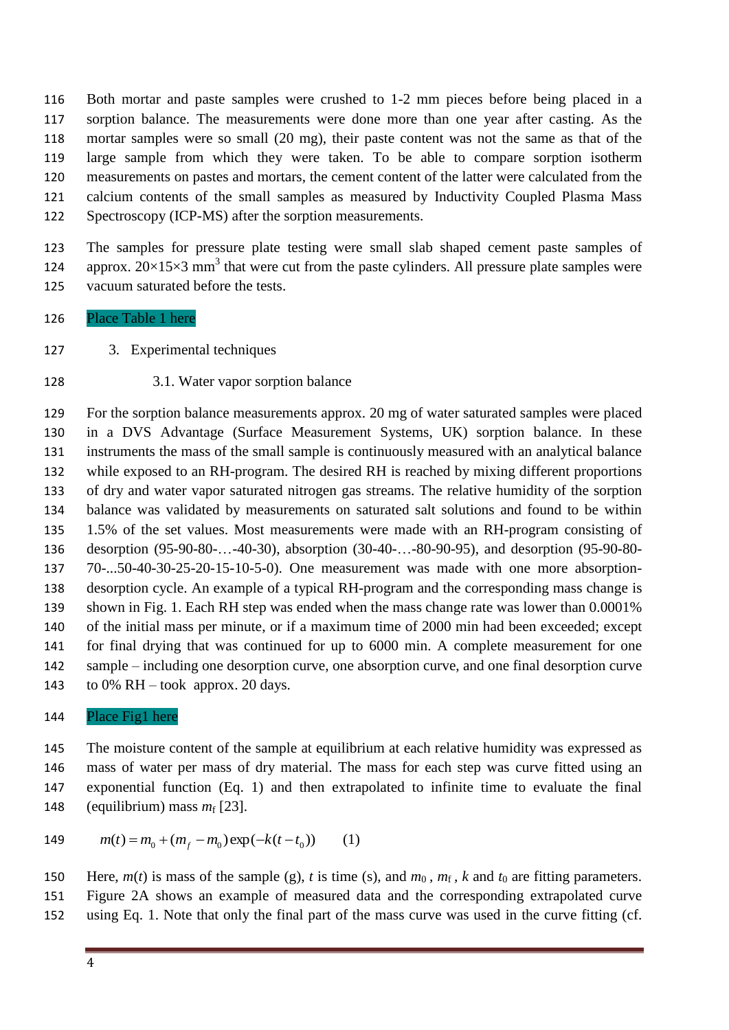Both mortar and paste samples were crushed to 1-2 mm pieces before being placed in a sorption balance. The measurements were done more than one year after casting. As the mortar samples were so small (20 mg), their paste content was not the same as that of the large sample from which they were taken. To be able to compare sorption isotherm measurements on pastes and mortars, the cement content of the latter were calculated from the calcium contents of the small samples as measured by Inductivity Coupled Plasma Mass Spectroscopy (ICP-MS) after the sorption measurements.

 The samples for pressure plate testing were small slab shaped cement paste samples of 124 approx.  $20 \times 15 \times 3$  mm<sup>3</sup> that were cut from the paste cylinders. All pressure plate samples were vacuum saturated before the tests.

- Place Table 1 here
- 3. Experimental techniques
- 3.1. Water vapor sorption balance

 For the sorption balance measurements approx. 20 mg of water saturated samples were placed in a DVS Advantage (Surface Measurement Systems, UK) sorption balance. In these instruments the mass of the small sample is continuously measured with an analytical balance while exposed to an RH-program. The desired RH is reached by mixing different proportions of dry and water vapor saturated nitrogen gas streams. The relative humidity of the sorption balance was validated by measurements on saturated salt solutions and found to be within 1.5% of the set values. Most measurements were made with an RH-program consisting of desorption (95-90-80-…-40-30), absorption (30-40-…-80-90-95), and desorption (95-90-80- 70-...50-40-30-25-20-15-10-5-0). One measurement was made with one more absorption- desorption cycle. An example of a typical RH-program and the corresponding mass change is shown in Fig. 1. Each RH step was ended when the mass change rate was lower than 0.0001% of the initial mass per minute, or if a maximum time of 2000 min had been exceeded; except for final drying that was continued for up to 6000 min. A complete measurement for one sample – including one desorption curve, one absorption curve, and one final desorption curve 143 to 0% RH – took approx. 20 days.

Place Fig1 here

 The moisture content of the sample at equilibrium at each relative humidity was expressed as mass of water per mass of dry material. The mass for each step was curve fitted using an exponential function (Eq. 1) and then extrapolated to infinite time to evaluate the final 148 (equilibrium) mass  $m_f$  [\[23\]](#page-11-13).

149 
$$
m(t) = m_0 + (m_f - m_0) \exp(-k(t - t_0))
$$
 (1)

Here,  $m(t)$  is mass of the sample (g), *t* is time (s), and  $m_0$ ,  $m_f$ , *k* and  $t_0$  are fitting parameters. Figure 2A shows an example of measured data and the corresponding extrapolated curve using Eq. 1. Note that only the final part of the mass curve was used in the curve fitting (cf.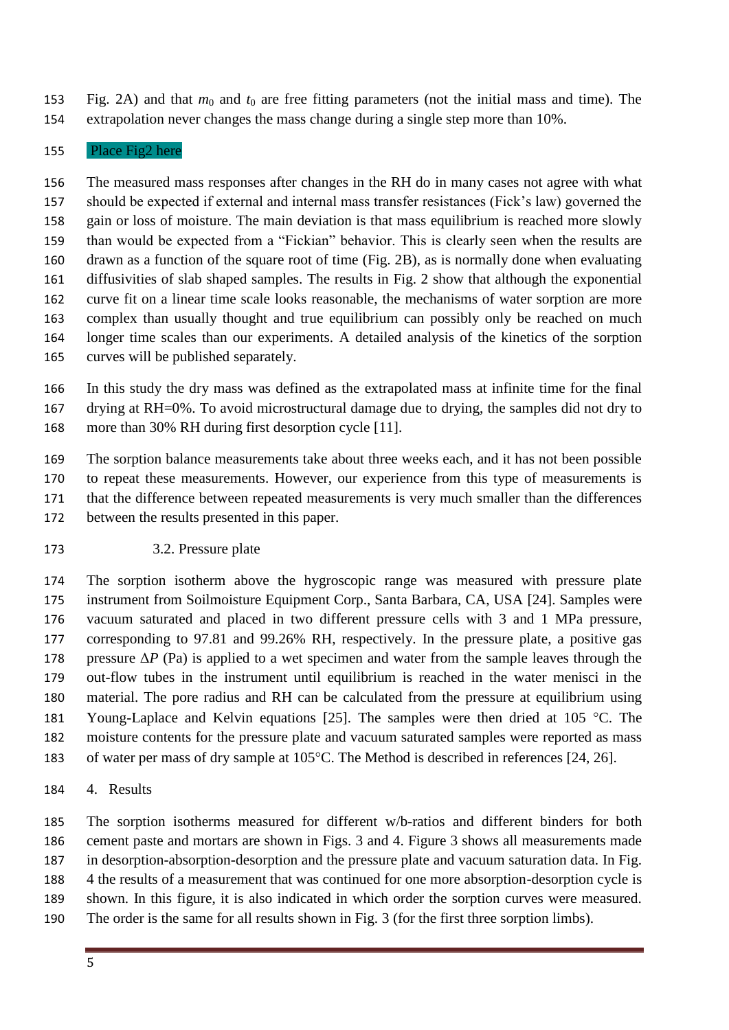153 Fig. 2A) and that  $m_0$  and  $t_0$  are free fitting parameters (not the initial mass and time). The extrapolation never changes the mass change during a single step more than 10%.

#### Place Fig2 here

 The measured mass responses after changes in the RH do in many cases not agree with what should be expected if external and internal mass transfer resistances (Fick's law) governed the gain or loss of moisture. The main deviation is that mass equilibrium is reached more slowly than would be expected from a "Fickian" behavior. This is clearly seen when the results are drawn as a function of the square root of time (Fig. 2B), as is normally done when evaluating diffusivities of slab shaped samples. The results in Fig. 2 show that although the exponential curve fit on a linear time scale looks reasonable, the mechanisms of water sorption are more complex than usually thought and true equilibrium can possibly only be reached on much longer time scales than our experiments. A detailed analysis of the kinetics of the sorption curves will be published separately.

 In this study the dry mass was defined as the extrapolated mass at infinite time for the final drying at RH=0%. To avoid microstructural damage due to drying, the samples did not dry to more than 30% RH during first desorption cycle [\[11\]](#page-11-1).

 The sorption balance measurements take about three weeks each, and it has not been possible to repeat these measurements. However, our experience from this type of measurements is that the difference between repeated measurements is very much smaller than the differences between the results presented in this paper.

3.2. Pressure plate

 The sorption isotherm above the hygroscopic range was measured with pressure plate instrument from Soilmoisture Equipment Corp., Santa Barbara, CA, USA [\[24\]](#page-11-14). Samples were vacuum saturated and placed in two different pressure cells with 3 and 1 MPa pressure, corresponding to 97.81 and 99.26% RH, respectively. In the pressure plate, a positive gas 178 pressure  $\Delta P$  (Pa) is applied to a wet specimen and water from the sample leaves through the out-flow tubes in the instrument until equilibrium is reached in the water menisci in the material. The pore radius and RH can be calculated from the pressure at equilibrium using 181 Young-Laplace and Kelvin equations [\[25\]](#page-11-15). The samples were then dried at 105  $^{\circ}$ C. The moisture contents for the pressure plate and vacuum saturated samples were reported as mass 183 of water per mass of dry sample at  $105^{\circ}$ C. The Method is described in references [\[24,](#page-11-14) [26\]](#page-11-16).

4. Results

 The sorption isotherms measured for different w/b-ratios and different binders for both cement paste and mortars are shown in Figs. 3 and 4. Figure 3 shows all measurements made in desorption-absorption-desorption and the pressure plate and vacuum saturation data. In Fig. 4 the results of a measurement that was continued for one more absorption-desorption cycle is shown. In this figure, it is also indicated in which order the sorption curves were measured. The order is the same for all results shown in Fig. 3 (for the first three sorption limbs).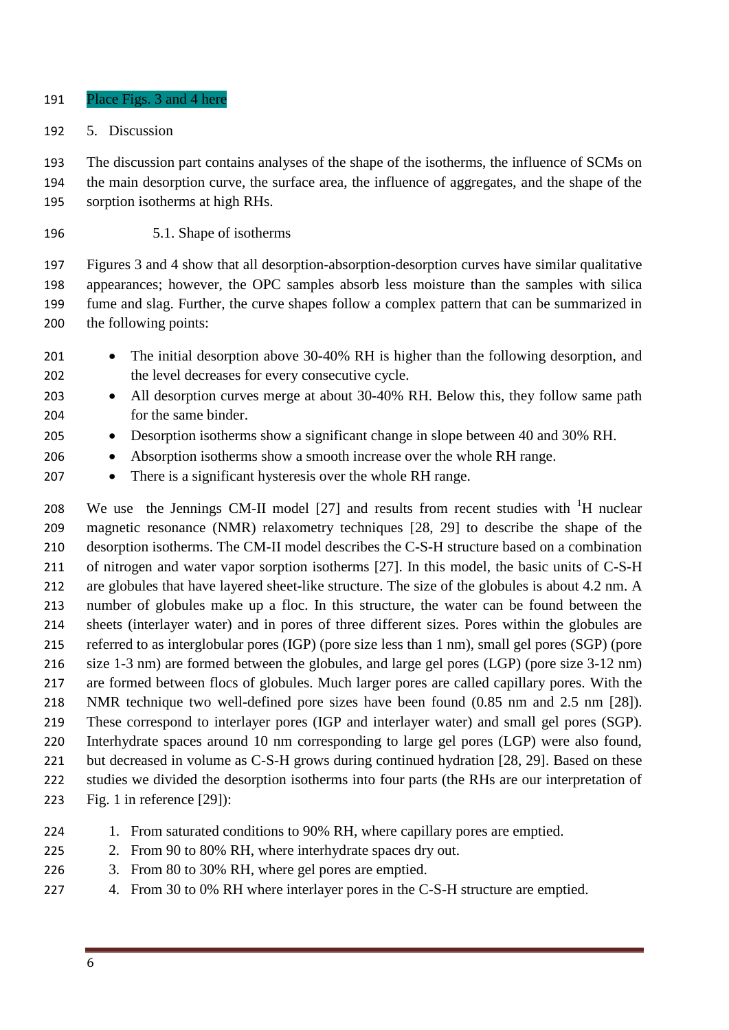- Place Figs. 3 and 4 here
- 5. Discussion

 The discussion part contains analyses of the shape of the isotherms, the influence of SCMs on the main desorption curve, the surface area, the influence of aggregates, and the shape of the sorption isotherms at high RHs.

5.1. Shape of isotherms

 Figures 3 and 4 show that all desorption-absorption-desorption curves have similar qualitative appearances; however, the OPC samples absorb less moisture than the samples with silica fume and slag. Further, the curve shapes follow a complex pattern that can be summarized in the following points:

- 201 The initial desorption above 30-40% RH is higher than the following desorption, and the level decreases for every consecutive cycle.
- 203 All desorption curves merge at about 30-40% RH. Below this, they follow same path for the same binder.
- Desorption isotherms show a significant change in slope between 40 and 30% RH.
- 206 Absorption isotherms show a smooth increase over the whole RH range.
- 207 There is a significant hysteresis over the whole RH range.

208 We use the Jennings CM-II model  $[27]$  and results from recent studies with  ${}^{1}H$  nuclear magnetic resonance (NMR) relaxometry techniques [\[28,](#page-11-18) [29\]](#page-11-19) to describe the shape of the desorption isotherms. The CM-II model describes the C-S-H structure based on a combination of nitrogen and water vapor sorption isotherms [\[27\]](#page-11-17). In this model, the basic units of C-S-H 212 are globules that have layered sheet-like structure. The size of the globules is about 4.2 nm. A number of globules make up a floc. In this structure, the water can be found between the sheets (interlayer water) and in pores of three different sizes. Pores within the globules are referred to as interglobular pores (IGP) (pore size less than 1 nm), small gel pores (SGP) (pore size 1-3 nm) are formed between the globules, and large gel pores (LGP) (pore size 3-12 nm) are formed between flocs of globules. Much larger pores are called capillary pores. With the NMR technique two well-defined pore sizes have been found (0.85 nm and 2.5 nm [\[28\]](#page-11-18)). These correspond to interlayer pores (IGP and interlayer water) and small gel pores (SGP). Interhydrate spaces around 10 nm corresponding to large gel pores (LGP) were also found, 221 but decreased in volume as C-S-H grows during continued hydration [\[28,](#page-11-18) [29\]](#page-11-19). Based on these studies we divided the desorption isotherms into four parts (the RHs are our interpretation of Fig. 1 in reference [\[29\]](#page-11-19)):

- 1. From saturated conditions to 90% RH, where capillary pores are emptied.
- 225 2. From 90 to 80% RH, where interhydrate spaces dry out.
- 3. From 80 to 30% RH, where gel pores are emptied.
- 4. From 30 to 0% RH where interlayer pores in the C-S-H structure are emptied.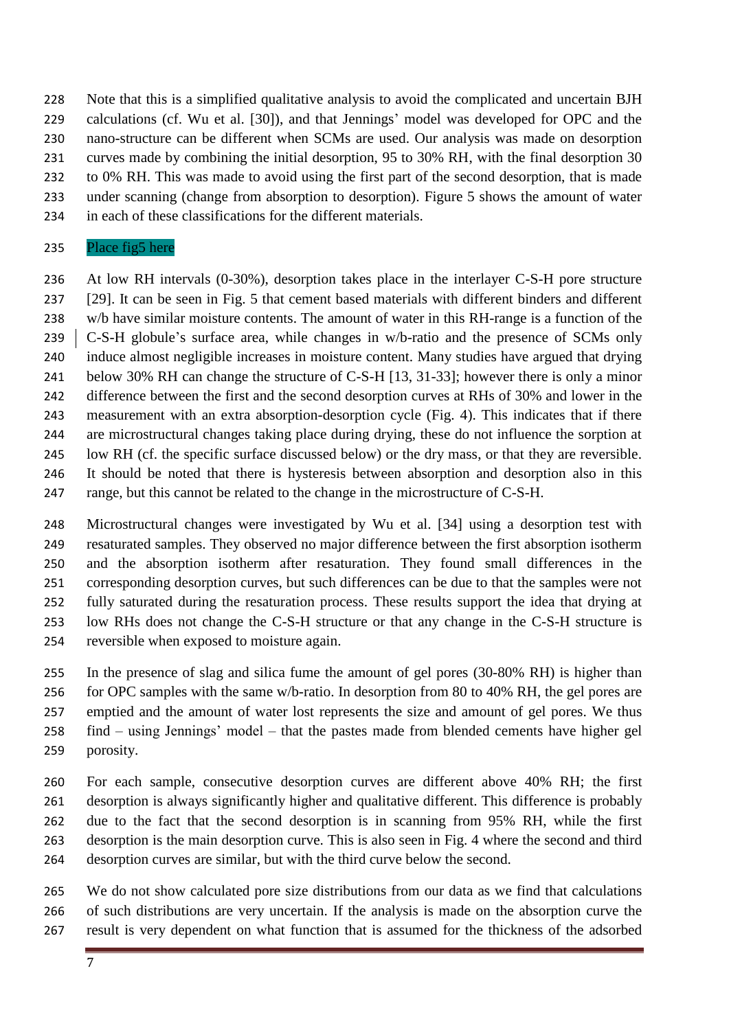Note that this is a simplified qualitative analysis to avoid the complicated and uncertain BJH calculations (cf. Wu et al. [\[30\]](#page-11-20)), and that Jennings' model was developed for OPC and the nano-structure can be different when SCMs are used. Our analysis was made on desorption curves made by combining the initial desorption, 95 to 30% RH, with the final desorption 30 to 0% RH. This was made to avoid using the first part of the second desorption, that is made under scanning (change from absorption to desorption). Figure 5 shows the amount of water in each of these classifications for the different materials.

#### Place fig5 here

 At low RH intervals (0-30%), desorption takes place in the interlayer C-S-H pore structure [\[29\]](#page-11-19). It can be seen in Fig. 5 that cement based materials with different binders and different w/b have similar moisture contents. The amount of water in this RH-range is a function of the 239 C-S-H globule's surface area, while changes in w/b-ratio and the presence of SCMs only induce almost negligible increases in moisture content. Many studies have argued that drying below 30% RH can change the structure of C-S-H [\[13,](#page-11-2) [31-33\]](#page-11-21); however there is only a minor difference between the first and the second desorption curves at RHs of 30% and lower in the measurement with an extra absorption-desorption cycle (Fig. 4). This indicates that if there are microstructural changes taking place during drying, these do not influence the sorption at low RH (cf. the specific surface discussed below) or the dry mass, or that they are reversible. It should be noted that there is hysteresis between absorption and desorption also in this range, but this cannot be related to the change in the microstructure of C-S-H.

 Microstructural changes were investigated by Wu et al. [\[34\]](#page-12-0) using a desorption test with resaturated samples. They observed no major difference between the first absorption isotherm and the absorption isotherm after resaturation. They found small differences in the corresponding desorption curves, but such differences can be due to that the samples were not fully saturated during the resaturation process. These results support the idea that drying at low RHs does not change the C-S-H structure or that any change in the C-S-H structure is reversible when exposed to moisture again.

 In the presence of slag and silica fume the amount of gel pores (30-80% RH) is higher than 256 for OPC samples with the same w/b-ratio. In desorption from 80 to 40% RH, the gel pores are emptied and the amount of water lost represents the size and amount of gel pores. We thus find – using Jennings' model – that the pastes made from blended cements have higher gel porosity.

 For each sample, consecutive desorption curves are different above 40% RH; the first desorption is always significantly higher and qualitative different. This difference is probably due to the fact that the second desorption is in scanning from 95% RH, while the first desorption is the main desorption curve. This is also seen in Fig. 4 where the second and third desorption curves are similar, but with the third curve below the second.

 We do not show calculated pore size distributions from our data as we find that calculations of such distributions are very uncertain. If the analysis is made on the absorption curve the result is very dependent on what function that is assumed for the thickness of the adsorbed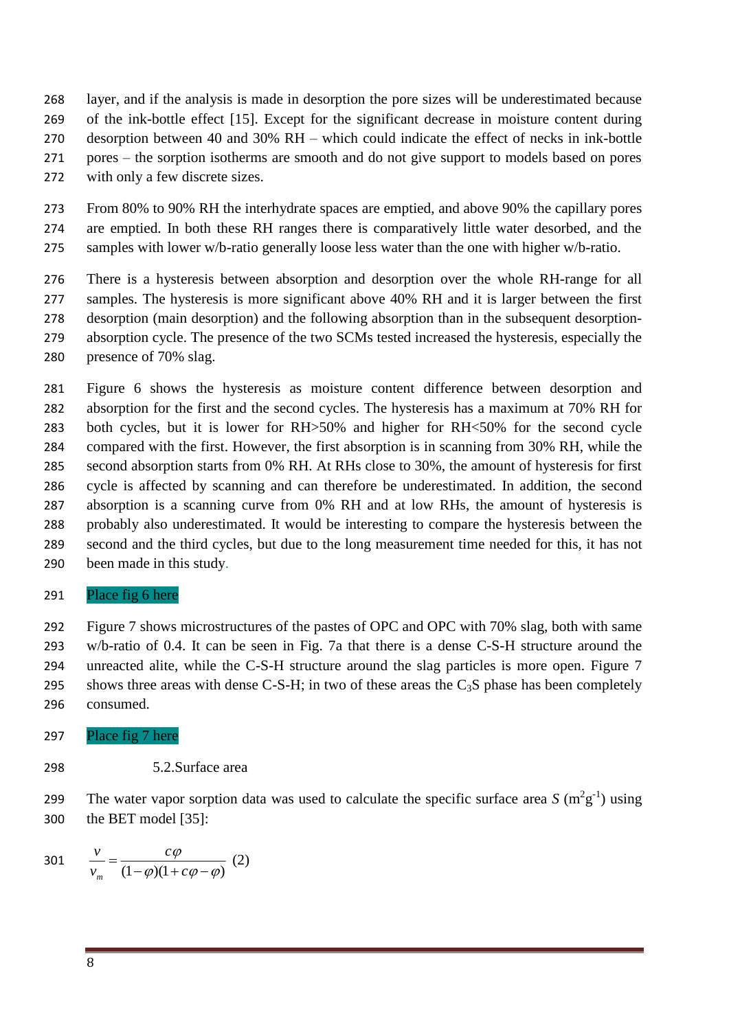- layer, and if the analysis is made in desorption the pore sizes will be underestimated because of the ink-bottle effect [\[15\]](#page-11-4). Except for the significant decrease in moisture content during desorption between 40 and 30% RH – which could indicate the effect of necks in ink-bottle pores – the sorption isotherms are smooth and do not give support to models based on pores with only a few discrete sizes.
- From 80% to 90% RH the interhydrate spaces are emptied, and above 90% the capillary pores are emptied. In both these RH ranges there is comparatively little water desorbed, and the samples with lower w/b-ratio generally loose less water than the one with higher w/b-ratio.
- There is a hysteresis between absorption and desorption over the whole RH-range for all samples. The hysteresis is more significant above 40% RH and it is larger between the first desorption (main desorption) and the following absorption than in the subsequent desorption- absorption cycle. The presence of the two SCMs tested increased the hysteresis, especially the 280 presence of 70% slag.
- Figure 6 shows the hysteresis as moisture content difference between desorption and absorption for the first and the second cycles. The hysteresis has a maximum at 70% RH for both cycles, but it is lower for RH>50% and higher for RH<50% for the second cycle compared with the first. However, the first absorption is in scanning from 30% RH, while the second absorption starts from 0% RH. At RHs close to 30%, the amount of hysteresis for first cycle is affected by scanning and can therefore be underestimated. In addition, the second absorption is a scanning curve from 0% RH and at low RHs, the amount of hysteresis is probably also underestimated. It would be interesting to compare the hysteresis between the second and the third cycles, but due to the long measurement time needed for this, it has not been made in this study.

#### Place fig 6 here

 Figure 7 shows microstructures of the pastes of OPC and OPC with 70% slag, both with same w/b-ratio of 0.4. It can be seen in Fig. 7a that there is a dense C-S-H structure around the unreacted alite, while the C-S-H structure around the slag particles is more open. Figure 7 295 shows three areas with dense C-S-H; in two of these areas the  $C_3S$  phase has been completely consumed.

- Place fig 7 here
- 5.2.Surface area
- 299 The water vapor sorption data was used to calculate the specific surface area  $S(m^2g^{-1})$  using the BET model [\[35\]](#page-12-1):

301 
$$
\frac{v}{v_m} = \frac{c\varphi}{(1-\varphi)(1+c\varphi-\varphi)}
$$
 (2)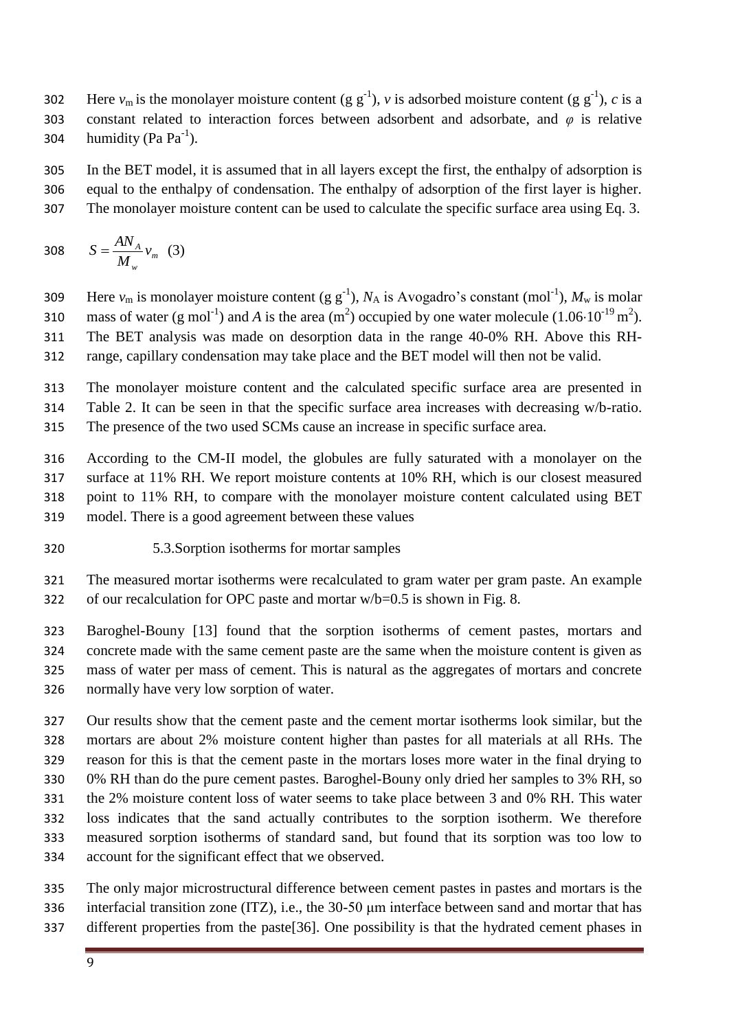302 Here  $v_m$  is the monolayer moisture content (g g<sup>-1</sup>), *v* is adsorbed moisture content (g g<sup>-1</sup>), *c* is a constant related to interaction forces between adsorbent and adsorbate, and *φ* is relative 304 humidity (Pa  $Pa^{-1}$ ).

 In the BET model, it is assumed that in all layers except the first, the enthalpy of adsorption is equal to the enthalpy of condensation. The enthalpy of adsorption of the first layer is higher. The monolayer moisture content can be used to calculate the specific surface area using Eq. 3.

$$
308 \qquad S = \frac{AN_A}{M_w} v_m \quad (3)
$$

309 Here  $v_m$  is monolayer moisture content (g g<sup>-1</sup>),  $N_A$  is Avogadro's constant (mol<sup>-1</sup>),  $M_w$  is molar 310 mass of water (g mol<sup>-1</sup>) and *A* is the area (m<sup>2</sup>) occupied by one water molecule (1.06·10<sup>-19</sup> m<sup>2</sup>). The BET analysis was made on desorption data in the range 40-0% RH. Above this RH-range, capillary condensation may take place and the BET model will then not be valid.

 The monolayer moisture content and the calculated specific surface area are presented in Table 2. It can be seen in that the specific surface area increases with decreasing w/b-ratio. The presence of the two used SCMs cause an increase in specific surface area.

 According to the CM-II model, the globules are fully saturated with a monolayer on the surface at 11% RH. We report moisture contents at 10% RH, which is our closest measured point to 11% RH, to compare with the monolayer moisture content calculated using BET model. There is a good agreement between these values

5.3.Sorption isotherms for mortar samples

 The measured mortar isotherms were recalculated to gram water per gram paste. An example 322 of our recalculation for OPC paste and mortar  $w/b=0.5$  is shown in Fig. 8.

 Baroghel-Bouny [\[13\]](#page-11-2) found that the sorption isotherms of cement pastes, mortars and concrete made with the same cement paste are the same when the moisture content is given as mass of water per mass of cement. This is natural as the aggregates of mortars and concrete normally have very low sorption of water.

 Our results show that the cement paste and the cement mortar isotherms look similar, but the mortars are about 2% moisture content higher than pastes for all materials at all RHs. The reason for this is that the cement paste in the mortars loses more water in the final drying to 0% RH than do the pure cement pastes. Baroghel-Bouny only dried her samples to 3% RH, so the 2% moisture content loss of water seems to take place between 3 and 0% RH. This water loss indicates that the sand actually contributes to the sorption isotherm. We therefore measured sorption isotherms of standard sand, but found that its sorption was too low to account for the significant effect that we observed.

 The only major microstructural difference between cement pastes in pastes and mortars is the interfacial transition zone (ITZ), i.e., the 30-50 μm interface between sand and mortar that has different properties from the paste[\[36\]](#page-12-2). One possibility is that the hydrated cement phases in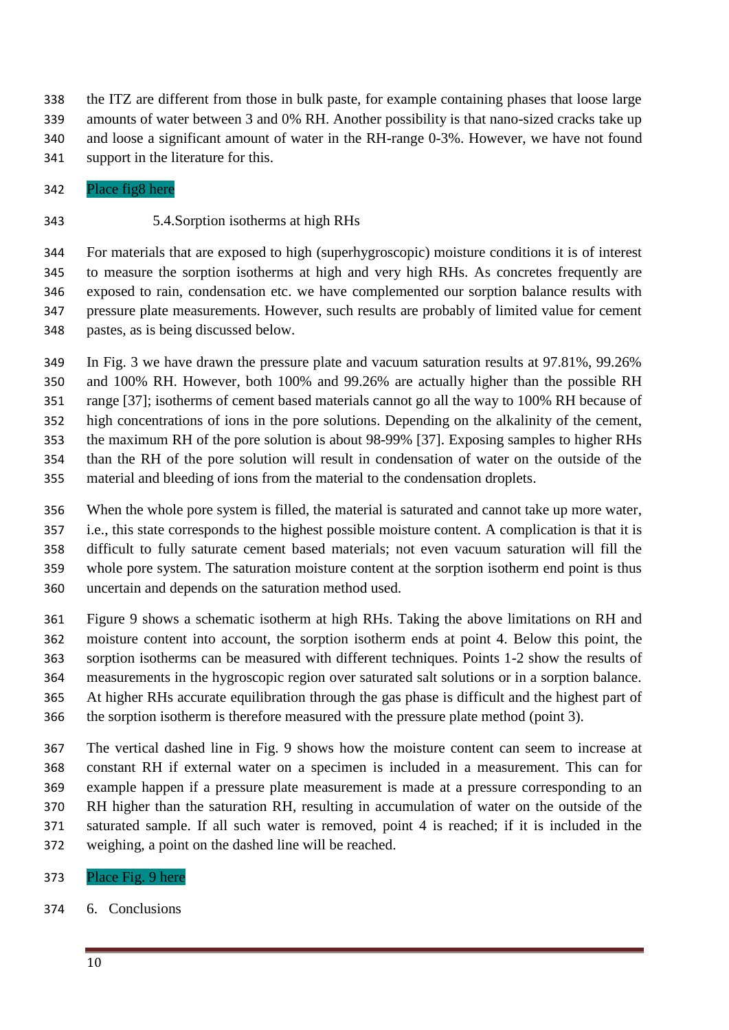the ITZ are different from those in bulk paste, for example containing phases that loose large amounts of water between 3 and 0% RH. Another possibility is that nano-sized cracks take up and loose a significant amount of water in the RH-range 0-3%. However, we have not found support in the literature for this.

Place fig8 here

#### 5.4.Sorption isotherms at high RHs

 For materials that are exposed to high (superhygroscopic) moisture conditions it is of interest to measure the sorption isotherms at high and very high RHs. As concretes frequently are exposed to rain, condensation etc. we have complemented our sorption balance results with pressure plate measurements. However, such results are probably of limited value for cement pastes, as is being discussed below.

 In Fig. 3 we have drawn the pressure plate and vacuum saturation results at 97.81%, 99.26% and 100% RH. However, both 100% and 99.26% are actually higher than the possible RH range [\[37\]](#page-12-3); isotherms of cement based materials cannot go all the way to 100% RH because of high concentrations of ions in the pore solutions. Depending on the alkalinity of the cement, the maximum RH of the pore solution is about 98-99% [\[37\]](#page-12-3). Exposing samples to higher RHs than the RH of the pore solution will result in condensation of water on the outside of the material and bleeding of ions from the material to the condensation droplets.

 When the whole pore system is filled, the material is saturated and cannot take up more water, i.e., this state corresponds to the highest possible moisture content. A complication is that it is difficult to fully saturate cement based materials; not even vacuum saturation will fill the whole pore system. The saturation moisture content at the sorption isotherm end point is thus uncertain and depends on the saturation method used.

 Figure 9 shows a schematic isotherm at high RHs. Taking the above limitations on RH and moisture content into account, the sorption isotherm ends at point 4. Below this point, the sorption isotherms can be measured with different techniques. Points 1-2 show the results of measurements in the hygroscopic region over saturated salt solutions or in a sorption balance. At higher RHs accurate equilibration through the gas phase is difficult and the highest part of the sorption isotherm is therefore measured with the pressure plate method (point 3).

 The vertical dashed line in Fig. 9 shows how the moisture content can seem to increase at constant RH if external water on a specimen is included in a measurement. This can for example happen if a pressure plate measurement is made at a pressure corresponding to an RH higher than the saturation RH, resulting in accumulation of water on the outside of the saturated sample. If all such water is removed, point 4 is reached; if it is included in the weighing, a point on the dashed line will be reached.

- Place Fig. 9 here
- 6. Conclusions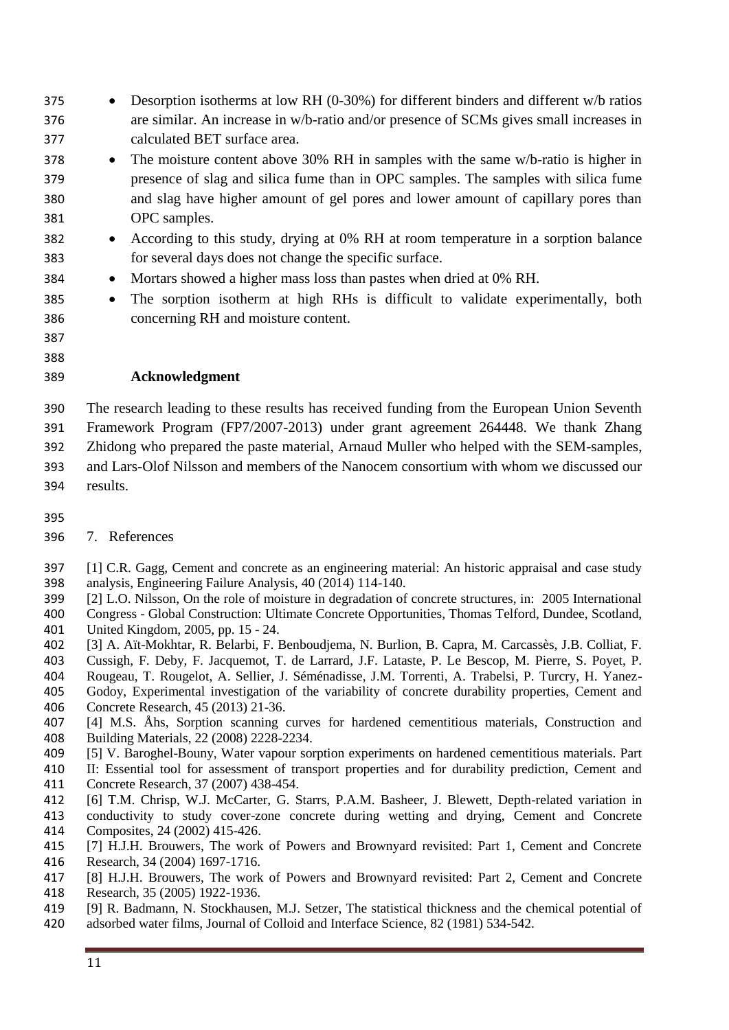- Desorption isotherms at low RH (0-30%) for different binders and different w/b ratios are similar. An increase in w/b-ratio and/or presence of SCMs gives small increases in calculated BET surface area.
- The moisture content above 30% RH in samples with the same w/b-ratio is higher in presence of slag and silica fume than in OPC samples. The samples with silica fume and slag have higher amount of gel pores and lower amount of capillary pores than OPC samples.
- 382 According to this study, drying at 0% RH at room temperature in a sorption balance for several days does not change the specific surface.
- 384 Mortars showed a higher mass loss than pastes when dried at 0% RH.
- The sorption isotherm at high RHs is difficult to validate experimentally, both concerning RH and moisture content.
- 
- 

#### **Acknowledgment**

 The research leading to these results has received funding from the European Union Seventh Framework Program (FP7/2007-2013) under grant agreement 264448. We thank Zhang Zhidong who prepared the paste material, Arnaud Muller who helped with the SEM-samples, and Lars-Olof Nilsson and members of the Nanocem consortium with whom we discussed our results.

- 
- 7. References
- <span id="page-10-0"></span> [1] C.R. Gagg, Cement and concrete as an engineering material: An historic appraisal and case study analysis, Engineering Failure Analysis, 40 (2014) 114-140.
- <span id="page-10-1"></span>[2] L.O. Nilsson, On the role of moisture in degradation of concrete structures, in: 2005 International
- Congress Global Construction: Ultimate Concrete Opportunities, Thomas Telford, Dundee, Scotland, United Kingdom, 2005, pp. 15 - 24.
- <span id="page-10-2"></span>[3] A. Aït-Mokhtar, R. Belarbi, F. Benboudjema, N. Burlion, B. Capra, M. Carcassès, J.B. Colliat, F.
- Cussigh, F. Deby, F. Jacquemot, T. de Larrard, J.F. Lataste, P. Le Bescop, M. Pierre, S. Poyet, P. Rougeau, T. Rougelot, A. Sellier, J. Séménadisse, J.M. Torrenti, A. Trabelsi, P. Turcry, H. Yanez-
- Godoy, Experimental investigation of the variability of concrete durability properties, Cement and Concrete Research, 45 (2013) 21-36.
- <span id="page-10-3"></span> [4] M.S. Åhs, Sorption scanning curves for hardened cementitious materials, Construction and Building Materials, 22 (2008) 2228-2234.
- <span id="page-10-4"></span>[5] V. Baroghel-Bouny, Water vapour sorption experiments on hardened cementitious materials. Part
- II: Essential tool for assessment of transport properties and for durability prediction, Cement and Concrete Research, 37 (2007) 438-454.
- <span id="page-10-5"></span>[6] T.M. Chrisp, W.J. McCarter, G. Starrs, P.A.M. Basheer, J. Blewett, Depth-related variation in
- conductivity to study cover-zone concrete during wetting and drying, Cement and Concrete Composites, 24 (2002) 415-426.
- <span id="page-10-6"></span> [7] H.J.H. Brouwers, The work of Powers and Brownyard revisited: Part 1, Cement and Concrete Research, 34 (2004) 1697-1716.
- <span id="page-10-7"></span> [8] H.J.H. Brouwers, The work of Powers and Brownyard revisited: Part 2, Cement and Concrete Research, 35 (2005) 1922-1936.
- <span id="page-10-8"></span> [9] R. Badmann, N. Stockhausen, M.J. Setzer, The statistical thickness and the chemical potential of adsorbed water films, Journal of Colloid and Interface Science, 82 (1981) 534-542.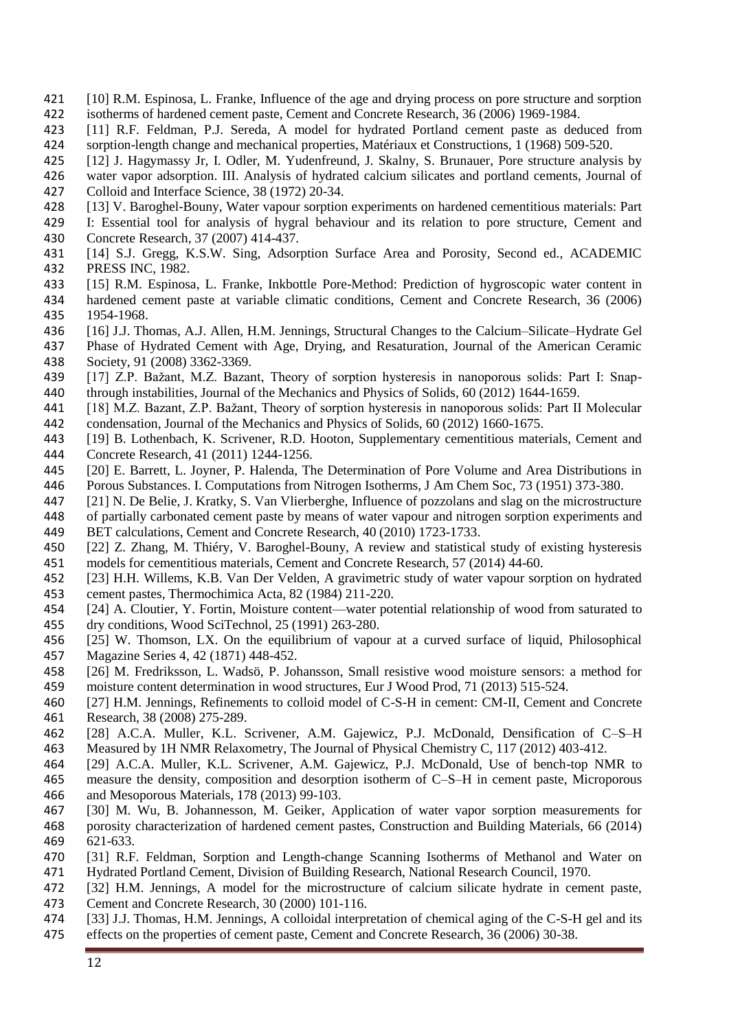- <span id="page-11-5"></span>421 [10] R.M. Espinosa, L. Franke, Influence of the age and drying process on pore structure and sorption isotherms of hardened cement paste, Cement and Concrete Research, 36 (2006) 1969-1984. isotherms of hardened cement paste, Cement and Concrete Research, 36 (2006) 1969-1984.
- <span id="page-11-1"></span> [11] R.F. Feldman, P.J. Sereda, A model for hydrated Portland cement paste as deduced from sorption-length change and mechanical properties, Matériaux et Constructions, 1 (1968) 509-520.
- <span id="page-11-0"></span>[12] J. Hagymassy Jr, I. Odler, M. Yudenfreund, J. Skalny, S. Brunauer, Pore structure analysis by
- water vapor adsorption. III. Analysis of hydrated calcium silicates and portland cements, Journal of Colloid and Interface Science, 38 (1972) 20-34.
- <span id="page-11-2"></span>[13] V. Baroghel-Bouny, Water vapour sorption experiments on hardened cementitious materials: Part
- I: Essential tool for analysis of hygral behaviour and its relation to pore structure, Cement and
- Concrete Research, 37 (2007) 414-437.
- <span id="page-11-3"></span> [14] S.J. Gregg, K.S.W. Sing, Adsorption Surface Area and Porosity, Second ed., ACADEMIC PRESS INC, 1982.
- <span id="page-11-4"></span>[15] R.M. Espinosa, L. Franke, Inkbottle Pore-Method: Prediction of hygroscopic water content in
- hardened cement paste at variable climatic conditions, Cement and Concrete Research, 36 (2006) 1954-1968.
- <span id="page-11-6"></span>[16] J.J. Thomas, A.J. Allen, H.M. Jennings, Structural Changes to the Calcium–Silicate–Hydrate Gel
- Phase of Hydrated Cement with Age, Drying, and Resaturation, Journal of the American Ceramic Society, 91 (2008) 3362-3369.
- <span id="page-11-7"></span> [17] Z.P. Bažant, M.Z. Bazant, Theory of sorption hysteresis in nanoporous solids: Part I: Snap-through instabilities, Journal of the Mechanics and Physics of Solids, 60 (2012) 1644-1659.
- <span id="page-11-8"></span> [18] M.Z. Bazant, Z.P. Bažant, Theory of sorption hysteresis in nanoporous solids: Part II Molecular condensation, Journal of the Mechanics and Physics of Solids, 60 (2012) 1660-1675.
- <span id="page-11-9"></span> [19] B. Lothenbach, K. Scrivener, R.D. Hooton, Supplementary cementitious materials, Cement and Concrete Research, 41 (2011) 1244-1256.
- <span id="page-11-10"></span>[20] E. Barrett, L. Joyner, P. Halenda, The Determination of Pore Volume and Area Distributions in
- Porous Substances. I. Computations from Nitrogen Isotherms, J Am Chem Soc, 73 (1951) 373-380.
- <span id="page-11-11"></span>[21] N. De Belie, J. Kratky, S. Van Vlierberghe, Influence of pozzolans and slag on the microstructure
- of partially carbonated cement paste by means of water vapour and nitrogen sorption experiments and BET calculations, Cement and Concrete Research, 40 (2010) 1723-1733.
- <span id="page-11-12"></span> [22] Z. Zhang, M. Thiéry, V. Baroghel-Bouny, A review and statistical study of existing hysteresis models for cementitious materials, Cement and Concrete Research, 57 (2014) 44-60.
- <span id="page-11-13"></span> [23] H.H. Willems, K.B. Van Der Velden, A gravimetric study of water vapour sorption on hydrated cement pastes, Thermochimica Acta, 82 (1984) 211-220.
- <span id="page-11-14"></span> [24] A. Cloutier, Y. Fortin, Moisture content—water potential relationship of wood from saturated to dry conditions, Wood SciTechnol, 25 (1991) 263-280.
- <span id="page-11-15"></span> [25] W. Thomson, LX. On the equilibrium of vapour at a curved surface of liquid, Philosophical Magazine Series 4, 42 (1871) 448-452.
- <span id="page-11-16"></span> [26] M. Fredriksson, L. Wadsö, P. Johansson, Small resistive wood moisture sensors: a method for moisture content determination in wood structures, Eur J Wood Prod, 71 (2013) 515-524.
- <span id="page-11-17"></span> [27] H.M. Jennings, Refinements to colloid model of C-S-H in cement: CM-II, Cement and Concrete Research, 38 (2008) 275-289.
- <span id="page-11-18"></span> [28] A.C.A. Muller, K.L. Scrivener, A.M. Gajewicz, P.J. McDonald, Densification of C–S–H Measured by 1H NMR Relaxometry, The Journal of Physical Chemistry C, 117 (2012) 403-412.
- <span id="page-11-19"></span> [29] A.C.A. Muller, K.L. Scrivener, A.M. Gajewicz, P.J. McDonald, Use of bench-top NMR to measure the density, composition and desorption isotherm of C–S–H in cement paste, Microporous and Mesoporous Materials, 178 (2013) 99-103.
- <span id="page-11-20"></span> [30] M. Wu, B. Johannesson, M. Geiker, Application of water vapor sorption measurements for porosity characterization of hardened cement pastes, Construction and Building Materials, 66 (2014) 621-633.
- <span id="page-11-21"></span> [31] R.F. Feldman, Sorption and Length-change Scanning Isotherms of Methanol and Water on Hydrated Portland Cement, Division of Building Research, National Research Council, 1970.
- [32] H.M. Jennings, A model for the microstructure of calcium silicate hydrate in cement paste, Cement and Concrete Research, 30 (2000) 101-116.
- [33] J.J. Thomas, H.M. Jennings, A colloidal interpretation of chemical aging of the C-S-H gel and its effects on the properties of cement paste, Cement and Concrete Research, 36 (2006) 30-38.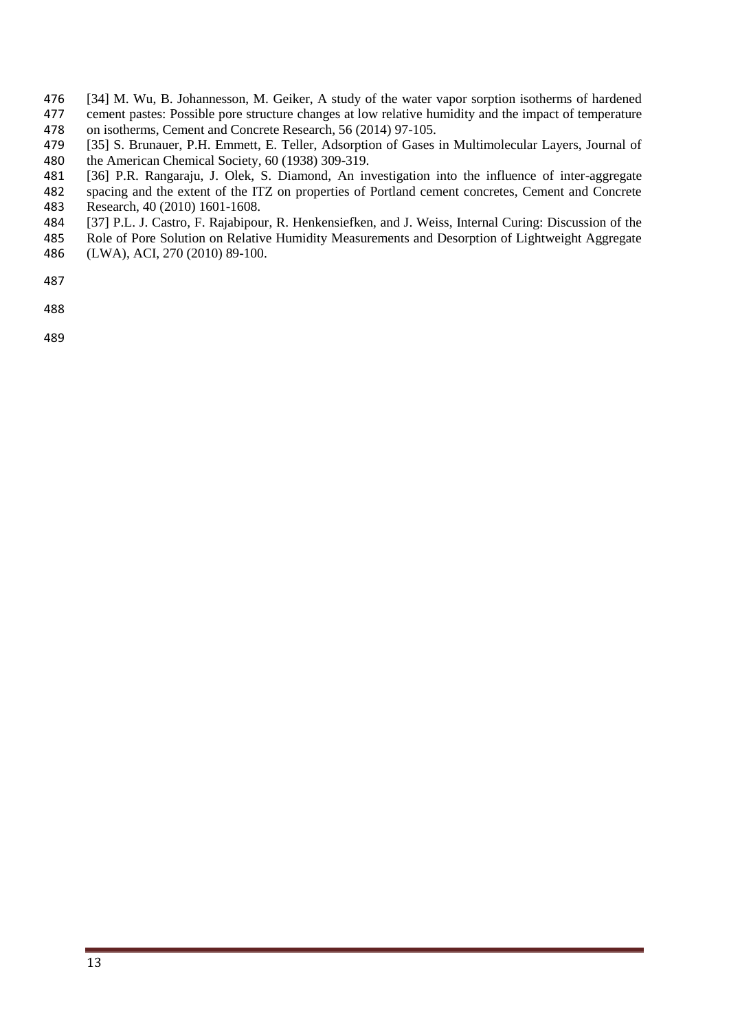- <span id="page-12-0"></span>476 [34] M. Wu, B. Johannesson, M. Geiker, A study of the water vapor sorption isotherms of hardened<br>477 cement pastes: Possible pore structure changes at low relative humidity and the impact of temperature cement pastes: Possible pore structure changes at low relative humidity and the impact of temperature on isotherms, Cement and Concrete Research, 56 (2014) 97-105.
- <span id="page-12-1"></span>[35] S. Brunauer, P.H. Emmett, E. Teller, Adsorption of Gases in Multimolecular Layers, Journal of
- the American Chemical Society, 60 (1938) 309-319.
- <span id="page-12-2"></span>[36] P.R. Rangaraju, J. Olek, S. Diamond, An investigation into the influence of inter-aggregate
- spacing and the extent of the ITZ on properties of Portland cement concretes, Cement and Concrete
- Research, 40 (2010) 1601-1608.
- <span id="page-12-3"></span>[37] P.L. J. Castro, F. Rajabipour, R. Henkensiefken, and J. Weiss, Internal Curing: Discussion of the
- Role of Pore Solution on Relative Humidity Measurements and Desorption of Lightweight Aggregate (LWA), ACI, 270 (2010) 89-100.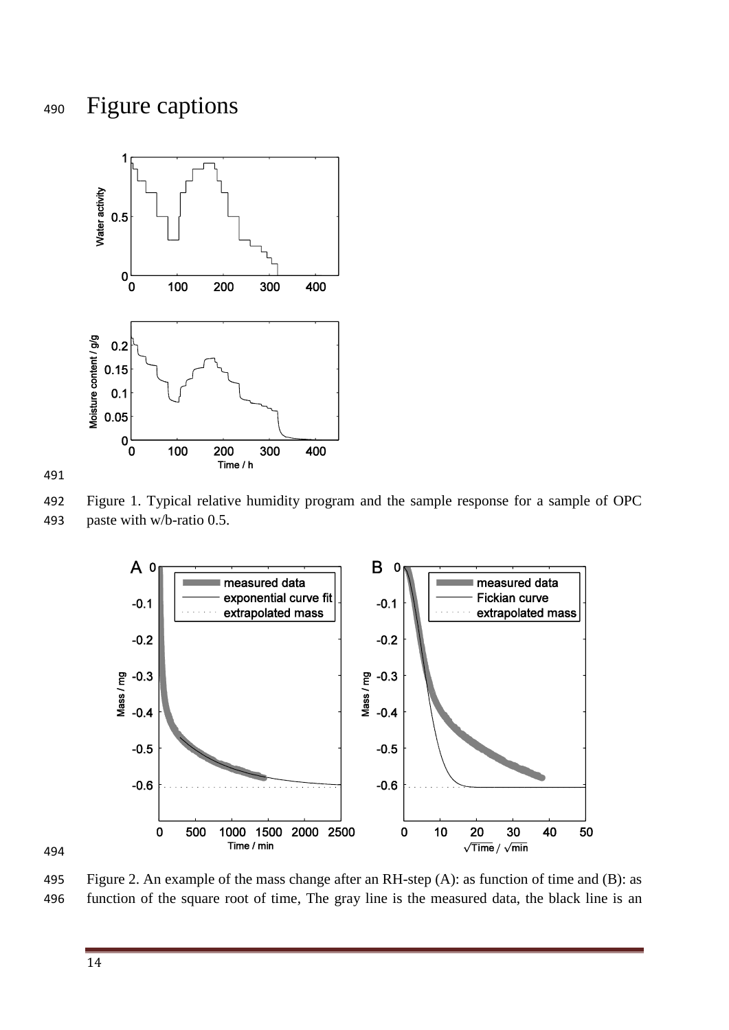### Figure captions





 Figure 1. Typical relative humidity program and the sample response for a sample of OPC paste with w/b-ratio 0.5.



 Figure 2. An example of the mass change after an RH-step (A): as function of time and (B): as function of the square root of time, The gray line is the measured data, the black line is an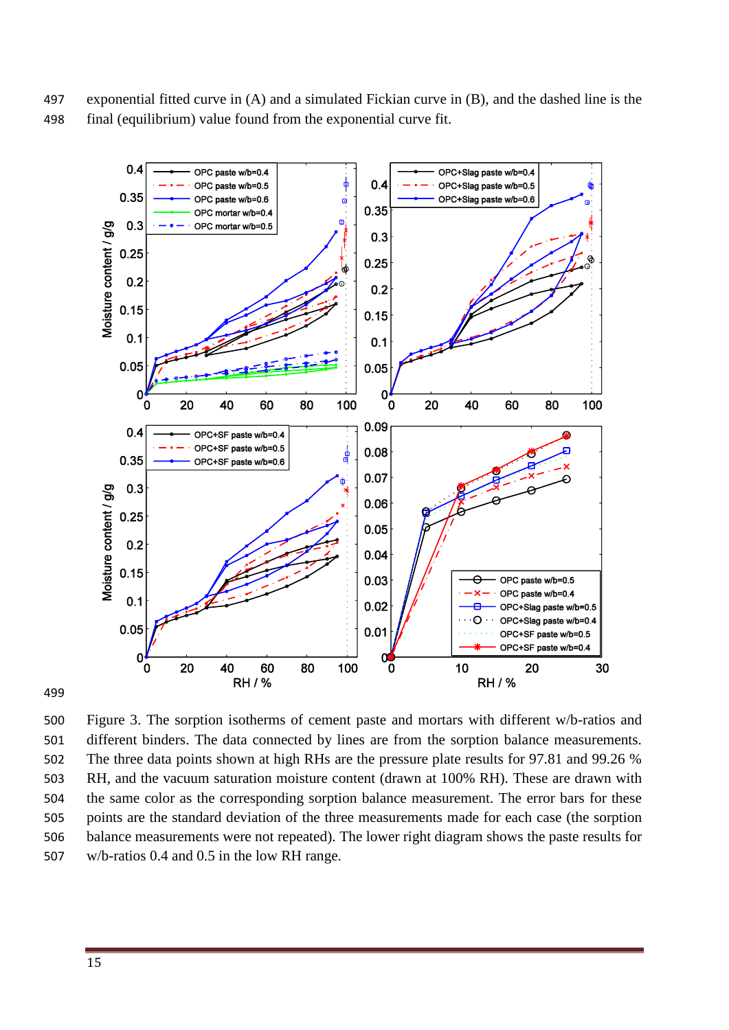exponential fitted curve in (A) and a simulated Fickian curve in (B), and the dashed line is the final (equilibrium) value found from the exponential curve fit.



 Figure 3. The sorption isotherms of cement paste and mortars with different w/b-ratios and different binders. The data connected by lines are from the sorption balance measurements. The three data points shown at high RHs are the pressure plate results for 97.81 and 99.26 % RH, and the vacuum saturation moisture content (drawn at 100% RH). These are drawn with the same color as the corresponding sorption balance measurement. The error bars for these points are the standard deviation of the three measurements made for each case (the sorption balance measurements were not repeated). The lower right diagram shows the paste results for w/b-ratios 0.4 and 0.5 in the low RH range.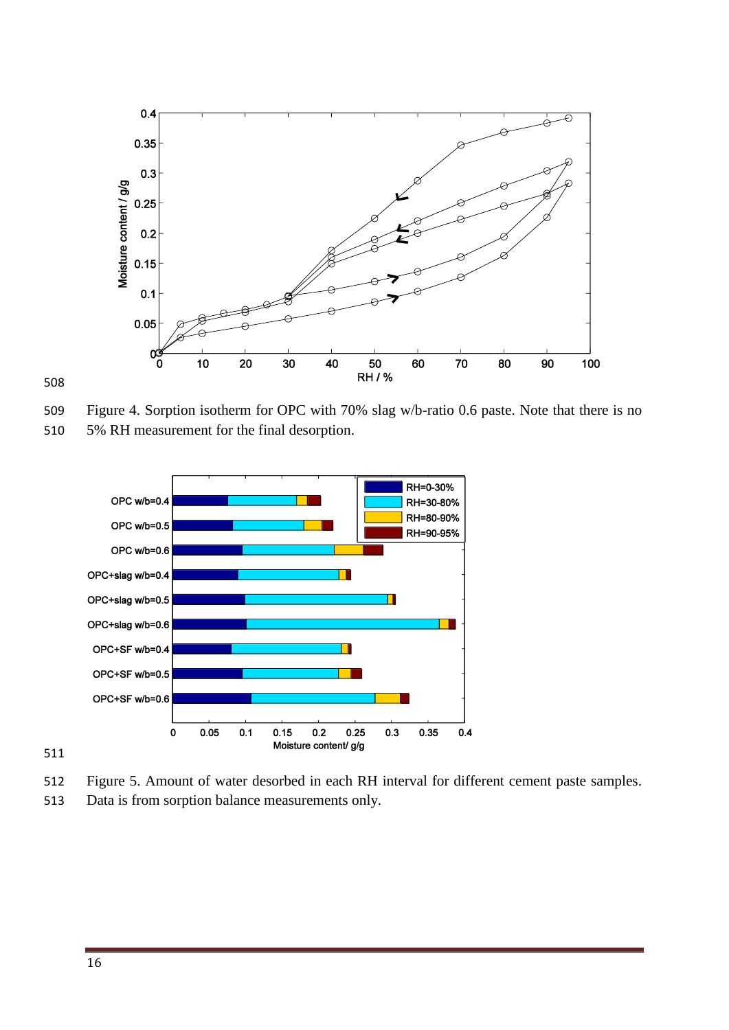

Figure 4. Sorption isotherm for OPC with 70% slag w/b-ratio 0.6 paste. Note that there is no





Figure 5. Amount of water desorbed in each RH interval for different cement paste samples.

Data is from sorption balance measurements only.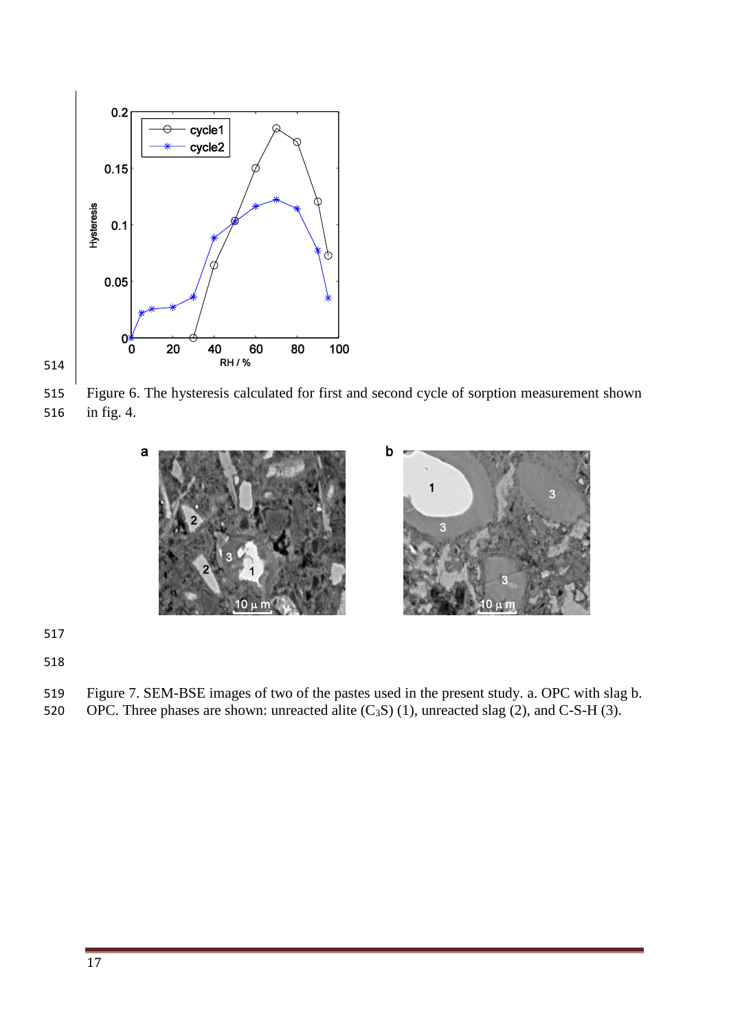



 Figure 6. The hysteresis calculated for first and second cycle of sorption measurement shown in fig. 4.



- 
- 

Figure 7. SEM-BSE images of two of the pastes used in the present study. a. OPC with slag b.

520 OPC. Three phases are shown: unreacted alite  $(C_3S)$  (1), unreacted slag (2), and C-S-H (3).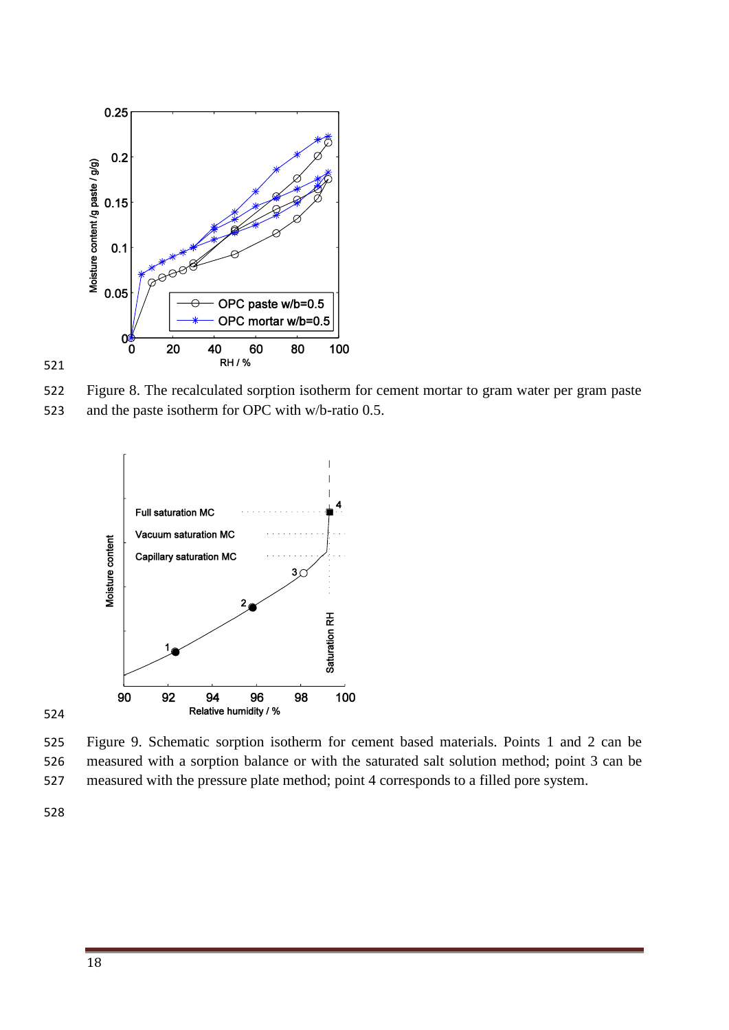

Figure 8. The recalculated sorption isotherm for cement mortar to gram water per gram paste





 Figure 9. Schematic sorption isotherm for cement based materials. Points 1 and 2 can be measured with a sorption balance or with the saturated salt solution method; point 3 can be measured with the pressure plate method; point 4 corresponds to a filled pore system.